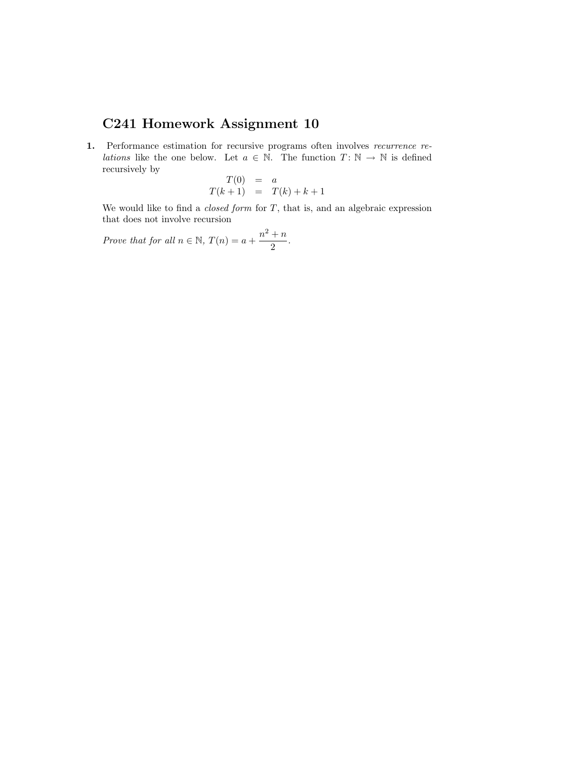## <span id="page-0-0"></span>C241 Homework Assignment 10

1. Performance estimation for recursive programs often involves recurrence re*lations* like the one below. Let  $a \in \mathbb{N}$ . The function  $T: \mathbb{N} \to \mathbb{N}$  is defined recursively by  $T(0)$ 

$$
T(0) = a
$$
  

$$
T(k+1) = T(k) + k + 1
$$

We would like to find a *closed form* for  $T$ , that is, and an algebraic expression that does not involve recursion

Prove that for all  $n \in \mathbb{N}$ ,  $T(n) = a + \frac{n^2 + n}{2}$  $\frac{1}{2}$ .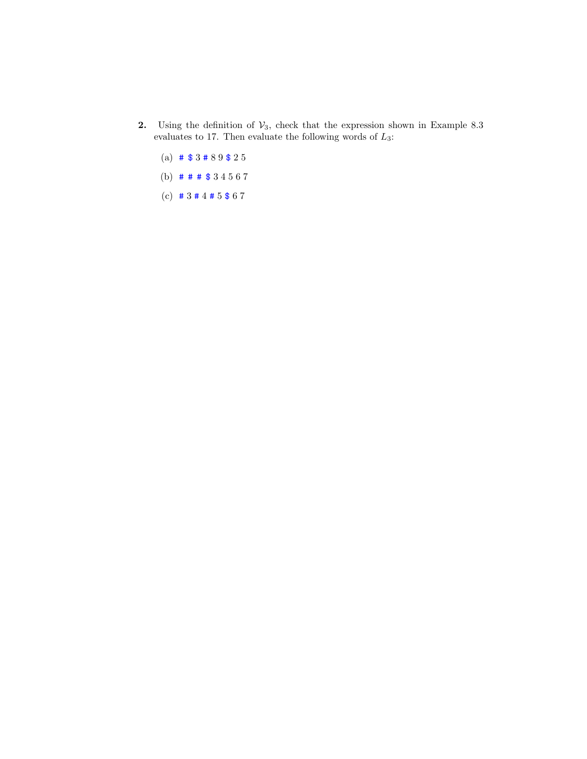- 2. Using the definition of  $V_3$ , check that the expression shown in Example 8.3 evaluates to 17. Then evaluate the following words of  $L_3$ :
	- (a) # \$ 3 # 8 9 \$ 2 5
	- (b) # # # \$ 3 4 5 6 7
	- (c)  $\#3 \#4 \#5 \$ 6 7$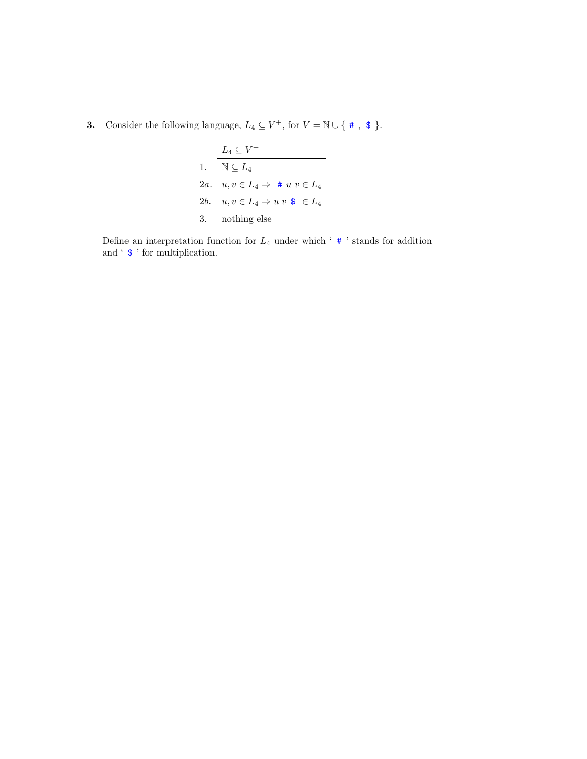**3.** Consider the following language,  $L_4 \subseteq V^+$ , for  $V = \mathbb{N} \cup \{ * , * \}$ .

| $L_4 \subset V^+$                            |
|----------------------------------------------|
| 1. $\mathbb{N} \subset L_4$                  |
| 2a. $u, v \in L_4 \Rightarrow # u v \in L_4$ |
| 2b. $u, v \in L_4 \Rightarrow u v \circ L_4$ |
| 3. nothing else                              |

Define an interpretation function for  $L_4$  under which ' $\#$ ' stands for addition and ' \$ ' for multiplication.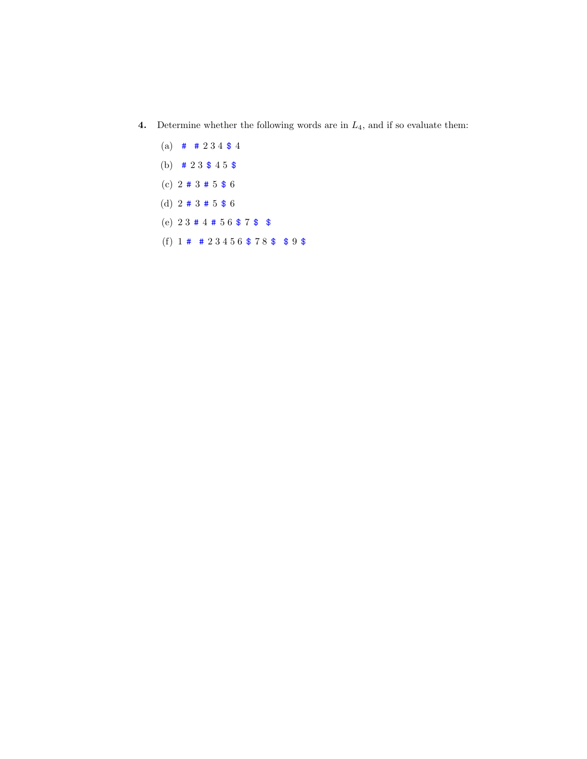- **4.** Determine whether the following words are in  $L_4$ , and if so evaluate them:
	- (a)  $\#$  # 2 3 4 \$ 4
	- (b)  $\# 23 \$ 45 \$$
	- (c)  $2 \# 3 \# 5 \$ 6$
	- (d)  $2 \# 3 \# 5 \$ 6$
	- (e)  $23 \# 4 \# 56 \$ 7 \$$
	- (f)  $1 \# 23456 $78 $$  \$ 9 \$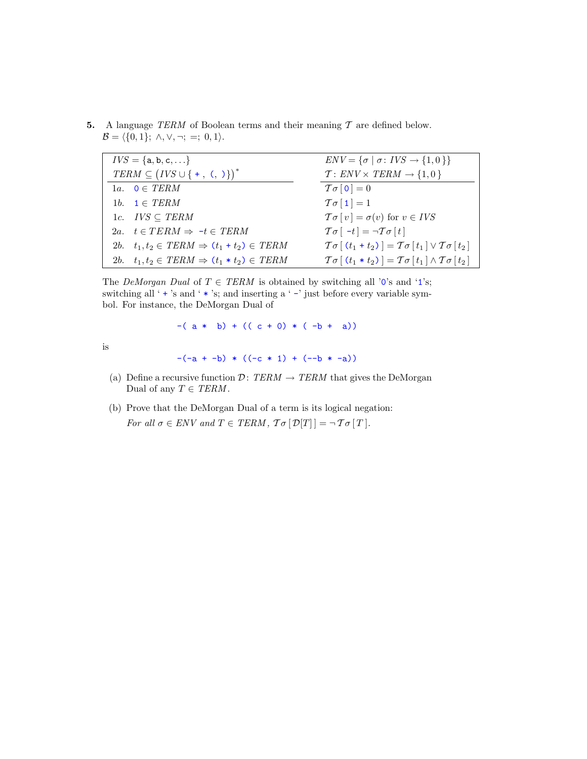5. A language TERM of Boolean terms and their meaning  $T$  are defined below.  $\mathcal{B} = \langle \{0, 1\}; \wedge, \vee, \neg; =; 0, 1 \rangle.$ 

| $IVS = \{a, b, c, \}$                                    | $ENV = {\sigma   \sigma : IVS \rightarrow {1,0}}$                                                |
|----------------------------------------------------------|--------------------------------------------------------------------------------------------------|
| $TERM \subseteq (IVS \cup \{ +, \langle , \rangle \})^*$ | $T: ENV \times TERM \rightarrow \{1,0\}$                                                         |
| 1a. $0 \in TERM$                                         | $T\sigma$ [0] = 0                                                                                |
| 1b. $1 \in TERM$                                         | $T\sigma[1]=1$                                                                                   |
| 1c. $IVS \subseteq TERM$                                 | $\mathcal{T}\sigma[v] = \sigma(v)$ for $v \in IVS$                                               |
| 2a. $t \in TERM \Rightarrow -t \in TERM$                 | $\mathcal{T}\sigma$ [ -t] = $\neg \mathcal{T}\sigma$ [t]                                         |
| 2b. $t_1, t_2 \in TERM \Rightarrow (t_1 + t_2) \in TERM$ | $\mathcal{T}\sigma[(t_1+t_2)] = \mathcal{T}\sigma[t_1] \vee \mathcal{T}\sigma[t_2]$              |
| 2b. $t_1, t_2 \in TERM \Rightarrow (t_1 * t_2) \in TERM$ | $\mathcal{T}\sigma$ $(t_1 * t_2)$ = $\mathcal{T}\sigma$ $[t_1] \wedge \mathcal{T}\sigma$ $[t_2]$ |

The DeMorgan Dual of  $T \in TERM$  is obtained by switching all '0's and '1's; switching all '  $\pm$  's and '  $\ast$  's; and inserting a '  $-$  ' just before every variable symbol. For instance, the DeMorgan Dual of

 $-(a * b) + ((c + 0) * (-b + a))$ 

is

 $-(-a + -b) * ((-c * 1) + (-b * -a))$ 

- (a) Define a recursive function  $\mathcal{D}: \mathcal{TERM} \rightarrow \mathcal{TERM}$  that gives the DeMorgan Dual of any  $T \in \text{TERM}$ .
- (b) Prove that the DeMorgan Dual of a term is its logical negation: For all  $\sigma \in ENV$  and  $T \in TERM$ ,  $\mathcal{T}\sigma[\mathcal{D}[T]] = \neg \mathcal{T}\sigma[T]$ .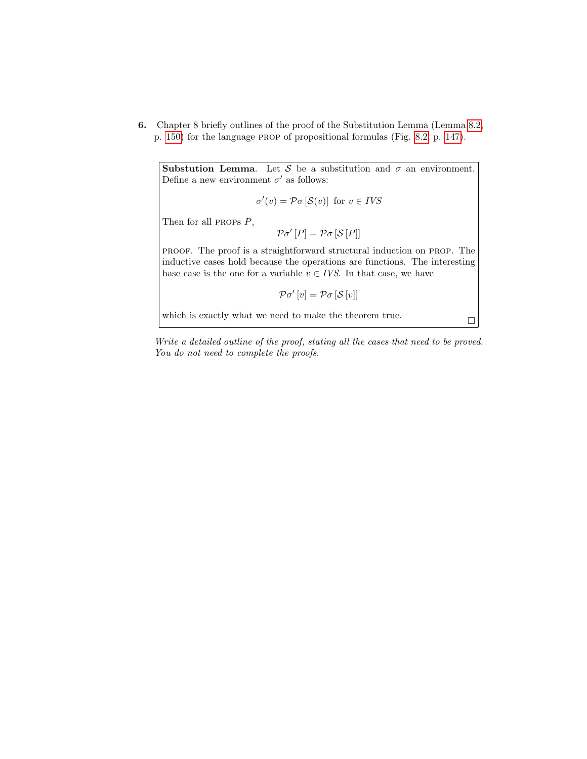6. Chapter 8 briefly outlines of the proof of the Substitution Lemma (Lemma [8.2,](#page-0-0) p. [150\)](#page-0-0) for the language prop of propositional formulas (Fig. [8.2,](#page-0-0) p. [147\)](#page-0-0).

**Substution Lemma.** Let S be a substitution and  $\sigma$  an environment. Define a new environment  $\sigma'$  as follows:

 $\sigma'(v) = \mathcal{P}\sigma[\mathcal{S}(v)]$  for  $v \in IVS$ 

Then for all PROPS  $P$ ,

 $\mathcal{P}\sigma'[P] = \mathcal{P}\sigma[\mathcal{S}[P]]$ 

proof. The proof is a straightforward structural induction on prop. The inductive cases hold because the operations are functions. The interesting base case is the one for a variable  $v \in IVS$ . In that case, we have

 $\mathcal{P}\sigma'[v] = \mathcal{P}\sigma[\mathcal{S}[v]]$ 

which is exactly what we need to make the theorem true.  $\hfill\Box$ 

Write a detailed outline of the proof, stating all the cases that need to be proved. You do not need to complete the proofs.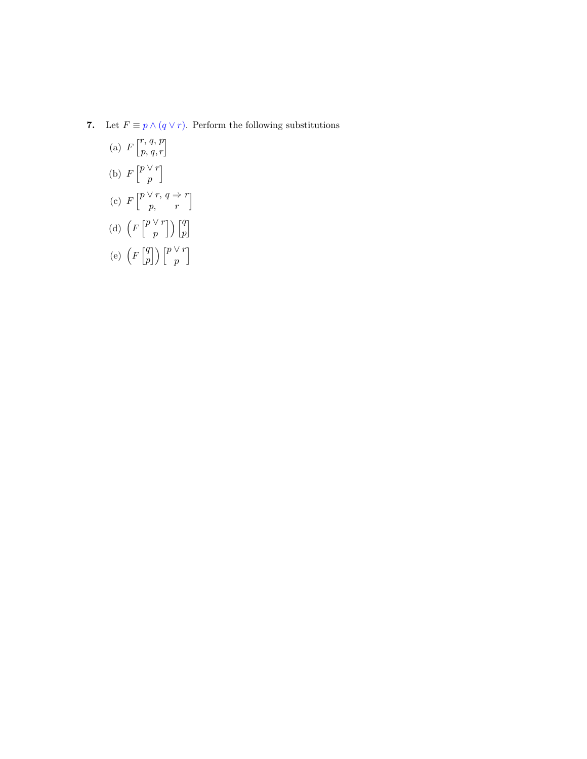7. Let  $F \equiv p \wedge (q \vee r)$ . Perform the following substitutions

(a) 
$$
F\begin{bmatrix}r, q, p\\p, q, r\end{bmatrix}
$$
  
\n(b)  $F\begin{bmatrix}p\vee r\\p\end{bmatrix}$   
\n(c)  $F\begin{bmatrix}p\vee r, q \Rightarrow r\\p, r\end{bmatrix}$   
\n(d)  $\left(F\begin{bmatrix}p\vee r\\p\end{bmatrix}\right)\begin{bmatrix}q\\p\end{bmatrix}$   
\n(e)  $\left(F\begin{bmatrix}q\\p\end{bmatrix}\right)\begin{bmatrix}p\vee r\\p\end{bmatrix}$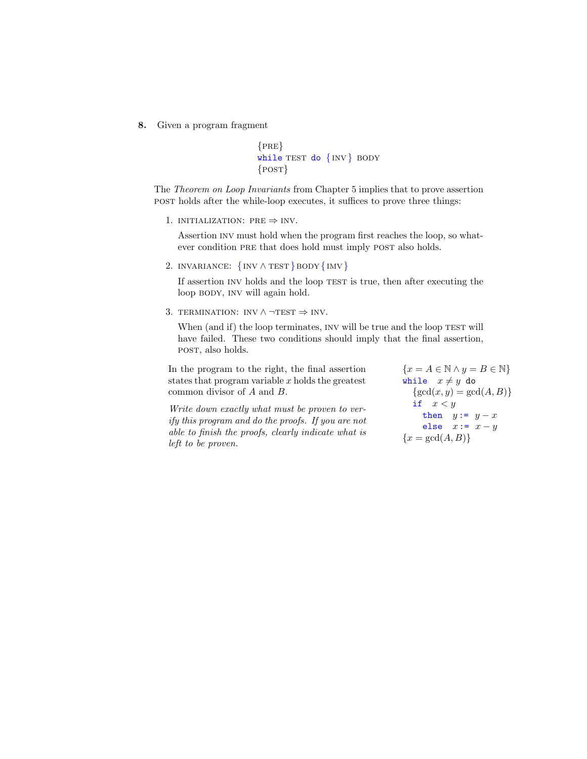8. Given a program fragment

```
{PRE}while TEST do \{INV\} BODY
{POST}
```
The Theorem on Loop Invariants from Chapter 5 implies that to prove assertion post holds after the while-loop executes, it suffices to prove three things:

1. INITIALIZATION: PRE  $\Rightarrow$  INV.

Assertion inv must hold when the program first reaches the loop, so whatever condition PRE that does hold must imply POST also holds.

2. INVARIANCE:  $\{INV \wedge TEST\} BODY \{INV\}$ 

If assertion INV holds and the loop TEST is true, then after executing the loop BODY, INV will again hold.

3. TERMINATION: INV  $\land \neg TEST \Rightarrow INV$ .

When (and if) the loop terminates, INV will be true and the loop TEST will have failed. These two conditions should imply that the final assertion, post, also holds.

In the program to the right, the final assertion states that program variable  $x$  holds the greatest common divisor of A and B.

Write down exactly what must be proven to verify this program and do the proofs. If you are not able to finish the proofs, clearly indicate what is left to be proven.

 ${x = A \in \mathbb{N} \land y = B \in \mathbb{N}}$ while  $x \neq y$  do  $\{\gcd(x, y) = \gcd(A, B)\}\$ if  $x < y$ then  $y := y - x$ else  $x:= x-y$  ${x = \gcd(A, B)}$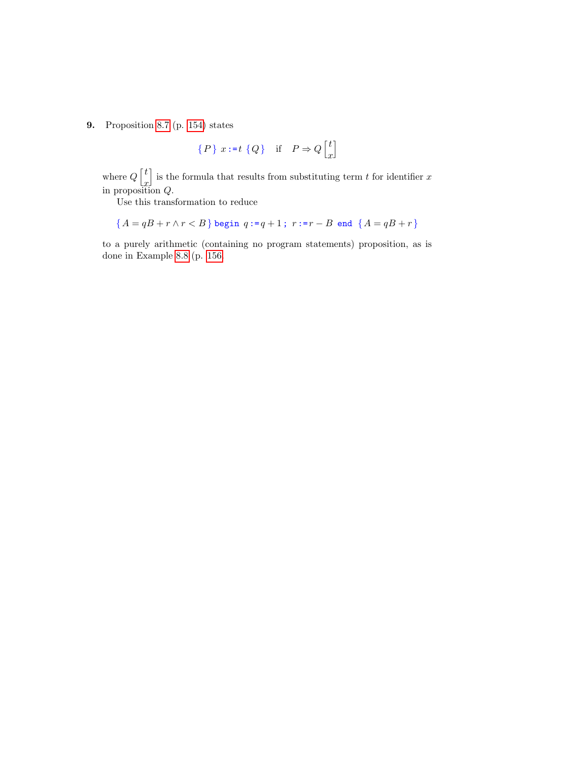9. Proposition [8.7](#page-0-0) (p. [154\)](#page-0-0) states

$$
\{P\} \ x := t \ Q\} \quad \text{if} \quad P \Rightarrow Q \begin{bmatrix} t \\ x \end{bmatrix}
$$

where  $Q\left\lceil\frac{t}{t}\right\rceil$  $\ddot{x}$ is the formula that results from substituting term  $t$  for identifier  $x$ in proposition Q.

Use this transformation to reduce

$$
\{A = qB + r \land r < B\} \text{ begin } q := q + 1 \text{; } r := r - B \text{ end } \{A = qB + r\}
$$

to a purely arithmetic (containing no program statements) proposition, as is done in Example [8.8](#page-0-0) (p. [156.](#page-0-0)